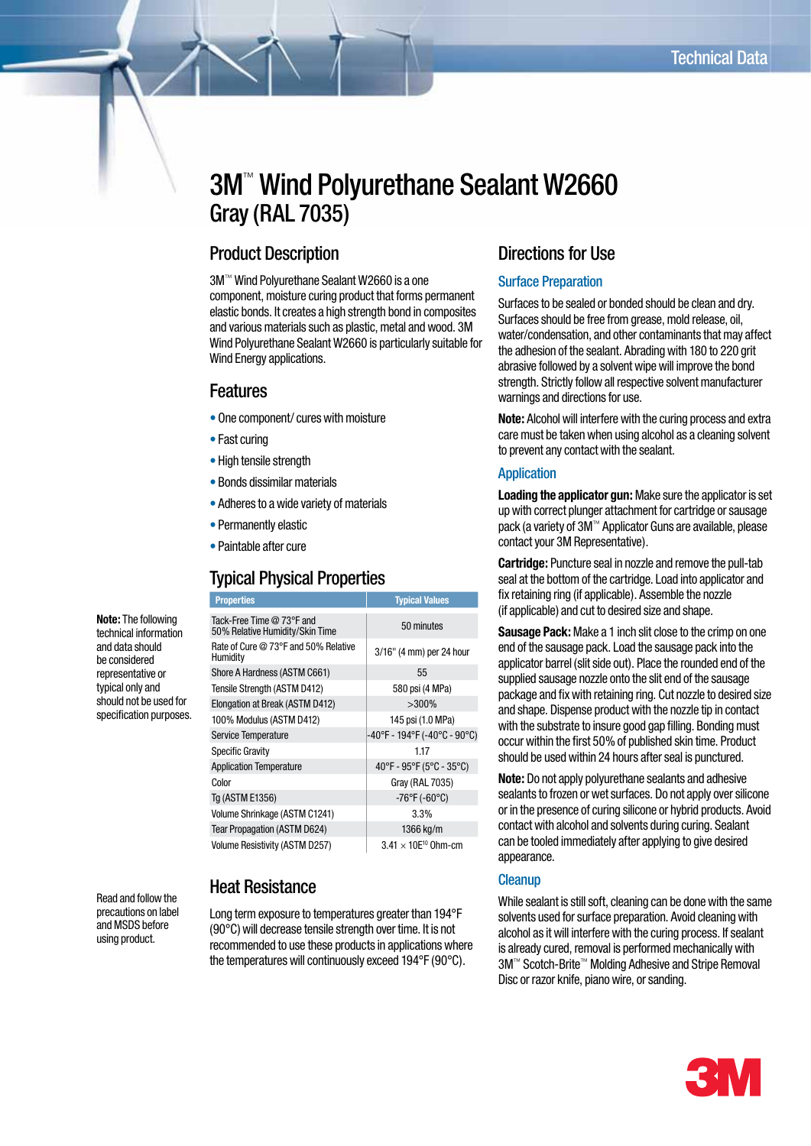# 3M™ Wind Polyurethane Sealant W2660 Gray (RAL 7035)

# Product Description

3M™ Wind Polyurethane Sealant W2660 is a one component, moisture curing product that forms permanent elastic bonds. It creates a high strength bond in composites and various materials such as plastic, metal and wood. 3M Wind Polyurethane Sealant W2660 is particularly suitable for Wind Energy applications.

### Features

- One component/ cures with moisture
- Fast curing
- High tensile strength
- Bonds dissimilar materials
- Adheres to a wide variety of materials
- Permanently elastic
- Paintable after cure

# Typical Physical Properties

**Properties Typical Values** 

| <b>Note:</b> The following |
|----------------------------|
| technical information      |
| and data should            |
| be considered              |
| representative or          |
| typical only and           |
| should not be used for     |
| specification purposes.    |
|                            |

Read and follow the precautions on label and MSDS before using product.

#### Tack-Free Time @ 73°F and Tack-Free Time @ 73°F and<br>50% Relative Humidity/Skin Time 50% Relative Humidity/Skin Time Rate of Cure @ 73°F and 50% Relative<br>Humidity 3/16" (4 mm) per 24 hour Shore A Hardness (ASTM C661) 55 Tensile Strength (ASTM D412) 580 psi (4 MPa) Elongation at Break (ASTM D412)  $>300\%$ 100% Modulus (ASTM D412) 145 psi (1.0 MPa) Service Temperature  $-40^{\circ}$ F - 194°F (-40°C - 90°C) Specific Gravity 1.17 Application Temperature 40°F - 95°F (5°C - 35°C) Color Gray (RAL 7035) Tg (ASTM E1356)  $-76^{\circ}F (-60^{\circ}C)$ Volume Shrinkage (ASTM C1241) 3.3% Tear Propagation (ASTM D624) 1366 kg/m Volume Resistivity (ASTM D257)  $3.41 \times 10E^{10}$  Ohm-cm

# Heat Resistance

Long term exposure to temperatures greater than 194°F (90°C) will decrease tensile strength over time. It is not recommended to use these products in applications where the temperatures will continuously exceed 194°F (90°C).

# Directions for Use

#### Surface Preparation

Surfaces to be sealed or bonded should be clean and dry. Surfaces should be free from grease, mold release, oil, water/condensation, and other contaminants that may affect the adhesion of the sealant. Abrading with 180 to 220 grit abrasive followed by a solvent wipe will improve the bond strength. Strictly follow all respective solvent manufacturer warnings and directions for use.

**Note:** Alcohol will interfere with the curing process and extra care must be taken when using alcohol as a cleaning solvent to prevent any contact with the sealant.

#### **Application**

**Loading the applicator gun:** Make sure the applicator is set up with correct plunger attachment for cartridge or sausage pack (a variety of 3M™ Applicator Guns are available, please contact your 3M Representative).

**Cartridge:** Puncture seal in nozzle and remove the pull-tab seal at the bottom of the cartridge. Load into applicator and fix retaining ring (if applicable). Assemble the nozzle (if applicable) and cut to desired size and shape.

**Sausage Pack:** Make a 1 inch slit close to the crimp on one end of the sausage pack. Load the sausage pack into the applicator barrel (slit side out). Place the rounded end of the supplied sausage nozzle onto the slit end of the sausage package and fix with retaining ring. Cut nozzle to desired size and shape. Dispense product with the nozzle tip in contact with the substrate to insure good gap filling. Bonding must occur within the first 50% of published skin time. Product should be used within 24 hours after seal is punctured.

**Note:** Do not apply polyurethane sealants and adhesive sealants to frozen or wet surfaces. Do not apply over silicone or in the presence of curing silicone or hybrid products. Avoid contact with alcohol and solvents during curing. Sealant can be tooled immediately after applying to give desired appearance.

#### **Cleanup**

While sealant is still soft, cleaning can be done with the same solvents used for surface preparation. Avoid cleaning with alcohol as it will interfere with the curing process. If sealant is already cured, removal is performed mechanically with 3M™ Scotch-Brite™ Molding Adhesive and Stripe Removal Disc or razor knife, piano wire, or sanding.